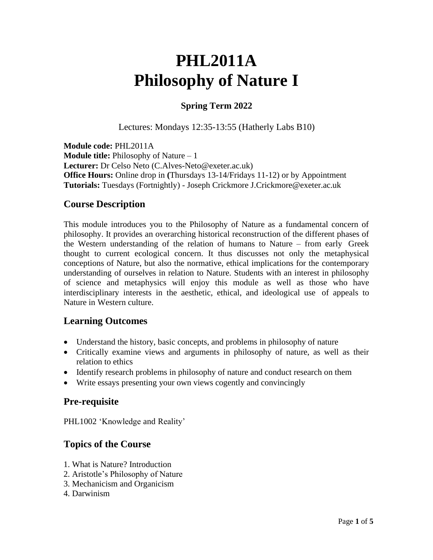# **PHL2011A Philosophy of Nature I**

# **Spring Term 2022**

Lectures: Mondays 12:35-13:55 (Hatherly Labs B10)

**Module code:** PHL2011A **Module title:** Philosophy of Nature – 1 **Lecturer:** Dr Celso Neto (C.Alves-Neto@exeter.ac.uk) **Office Hours:** Online drop in **(**Thursdays 13-14/Fridays 11-12) or by Appointment **Tutorials:** Tuesdays (Fortnightly) - Joseph Crickmore J.Crickmore@exeter.ac.uk

# **Course Description**

This module introduces you to the Philosophy of Nature as a fundamental concern of philosophy. It provides an overarching historical reconstruction of the different phases of the Western understanding of the relation of humans to Nature – from early Greek thought to current ecological concern. It thus discusses not only the metaphysical conceptions of Nature, but also the normative, ethical implications for the contemporary understanding of ourselves in relation to Nature. Students with an interest in philosophy of science and metaphysics will enjoy this module as well as those who have interdisciplinary interests in the aesthetic, ethical, and ideological use of appeals to Nature in Western culture.

# **Learning Outcomes**

- Understand the history, basic concepts, and problems in philosophy of nature
- Critically examine views and arguments in philosophy of nature, as well as their relation to ethics
- Identify research problems in philosophy of nature and conduct research on them
- Write essays presenting your own views cogently and convincingly

# **Pre-requisite**

PHL1002 'Knowledge and Reality'

# **Topics of the Course**

- 1. What is Nature? Introduction
- 2. Aristotle's Philosophy of Nature
- 3. Mechanicism and Organicism
- 4. Darwinism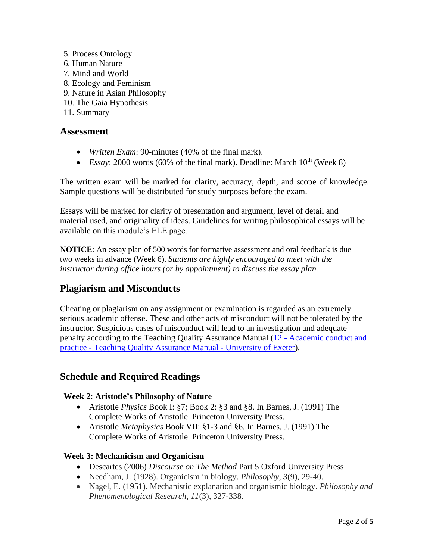- 5. Process Ontology
- 6. Human Nature
- 7. Mind and World
- 8. Ecology and Feminism
- 9. Nature in Asian Philosophy
- 10. The Gaia Hypothesis
- 11. Summary

#### **Assessment**

- *Written Exam*: 90-minutes (40% of the final mark).
- *Essay*: 2000 words (60% of the final mark). Deadline: March  $10^{th}$  (Week 8)

The written exam will be marked for clarity, accuracy, depth, and scope of knowledge. Sample questions will be distributed for study purposes before the exam.

Essays will be marked for clarity of presentation and argument, level of detail and material used, and originality of ideas. Guidelines for writing philosophical essays will be available on this module's ELE page.

**NOTICE**: An essay plan of 500 words for formative assessment and oral feedback is due two weeks in advance (Week 6). *Students are highly encouraged to meet with the instructor during office hours (or by appointment) to discuss the essay plan.*

# **Plagiarism and Misconducts**

Cheating or plagiarism on any assignment or examination is regarded as an extremely serious academic offense. These and other acts of misconduct will not be tolerated by the instructor. Suspicious cases of misconduct will lead to an investigation and adequate penalty according to the Teaching Quality Assurance Manual (12 - [Academic conduct and](https://as.exeter.ac.uk/academic-policy-standards/tqa-manual/aph/managingacademicmisconduct/)  practice - [Teaching Quality Assurance Manual -](https://as.exeter.ac.uk/academic-policy-standards/tqa-manual/aph/managingacademicmisconduct/) University of Exeter).

# **Schedule and Required Readings**

#### **Week 2**: **Aristotle's Philosophy of Nature**

- Aristotle *Physics* Book I: §7; Book 2: §3 and §8. In Barnes, J. (1991) The Complete Works of Aristotle. Princeton University Press.
- Aristotle *Metaphysics* Book VII: §1-3 and §6. In Barnes, J. (1991) The Complete Works of Aristotle. Princeton University Press.

#### **Week 3: Mechanicism and Organicism**

- Descartes (2006) *Discourse on The Method* Part 5 Oxford University Press
- Needham, J. (1928). Organicism in biology. *Philosophy*, *3*(9), 29-40.
- Nagel, E. (1951). Mechanistic explanation and organismic biology. *Philosophy and Phenomenological Research*, *11*(3), 327-338.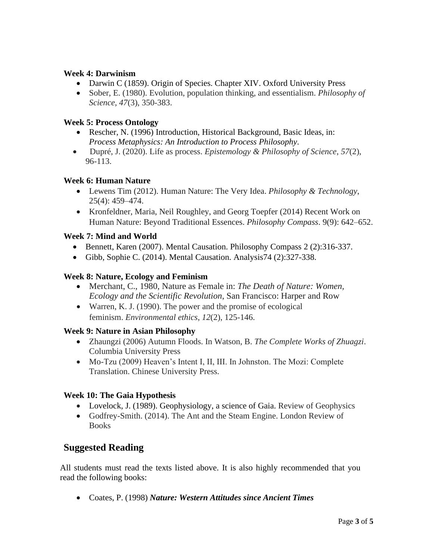#### **Week 4: Darwinism**

- Darwin C (1859). Origin of Species. Chapter XIV. Oxford University Press
- Sober, E. (1980). Evolution, population thinking, and essentialism. *Philosophy of Science*, *47*(3), 350-383.

## **Week 5: Process Ontology**

- Rescher, N. (1996) Introduction, Historical Background, Basic Ideas, in: *Process Metaphysics: An Introduction to Process Philosophy*.
- Dupré, J. (2020). Life as process. *Epistemology & Philosophy of Science*, *57*(2), 96-113.

## **Week 6: Human Nature**

- Lewens Tim (2012). Human Nature: The Very Idea. *Philosophy & Technology*, 25(4): 459–474.
- Kronfeldner, Maria, Neil Roughley, and Georg Toepfer (2014) Recent Work on Human Nature: Beyond Traditional Essences. *Philosophy Compass*. 9(9): 642–652.

## **Week 7: Mind and World**

- Bennett, Karen (2007). Mental Causation. Philosophy Compass 2 (2):316-337.
- Gibb, Sophie C. (2014). Mental Causation. Analysis 74 (2): 327-338.

## **Week 8: Nature, Ecology and Feminism**

- Merchant, C., 1980, Nature as Female in: *The Death of Nature: Women, Ecology and the Scientific Revolution*, San Francisco: Harper and Row
- Warren, K. J. (1990). The power and the promise of ecological feminism. *Environmental ethics*, *12*(2), 125-146.

## **Week 9: Nature in Asian Philosophy**

- Zhaungzi (2006) Autumn Floods. In Watson, B. *The Complete Works of Zhuagzi*. Columbia University Press
- Mo-Tzu (2009) Heaven's Intent I, II, III. In Johnston. The Mozi: Complete Translation. Chinese University Press.

# **Week 10: The Gaia Hypothesis**

- Lovelock, J. (1989). Geophysiology, a science of Gaia. Review of Geophysics
- Godfrey-Smith. (2014). The Ant and the Steam Engine. London Review of **Books**

# **Suggested Reading**

All students must read the texts listed above. It is also highly recommended that you read the following books:

• Coates, P. (1998) *Nature: Western Attitudes since Ancient Times*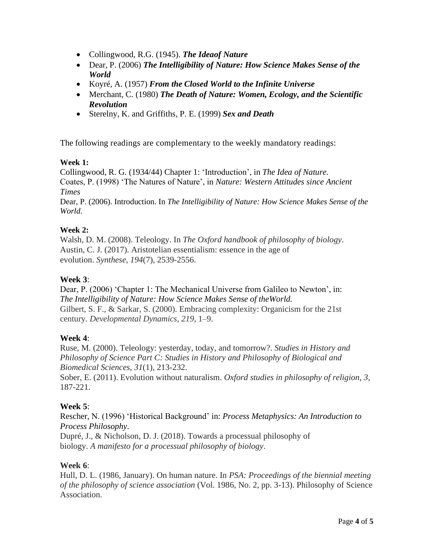- Collingwood, R.G. (1945). *The Ideaof Nature*
- Dear, P. (2006) *The Intelligibility of Nature: How Science Makes Sense of the World*
- Koyré, A. (1957) *From the Closed World to the Infinite Universe*
- Merchant, C. (1980) *The Death of Nature: Women, Ecology, and the Scientific Revolution*
- Sterelny, K. and Griffiths, P. E. (1999) *Sex and Death*

The following readings are complementary to the weekly mandatory readings:

## **Week 1:**

Collingwood, R. G. (1934/44) Chapter 1: 'Introduction', in *The Idea of Nature*. Coates, P. (1998) 'The Natures of Nature', in *Nature: Western Attitudes since Ancient Times*

Dear, P. (2006). Introduction. In *The Intelligibility of Nature: How Science Makes Sense of the World*.

## **Week 2:**

Walsh, D. M. (2008). Teleology. In *The Oxford handbook of philosophy of biology*. Austin, C. J. (2017). Aristotelian essentialism: essence in the age of evolution. *Synthese*, *194*(7), 2539-2556.

## **Week 3**:

Dear, P. (2006) 'Chapter 1: The Mechanical Universe from Galileo to Newton', in: *The Intelligibility of Nature: How Science Makes Sense of theWorld.* Gilbert, S. F., & Sarkar, S. (2000). Embracing complexity: Organicism for the 21st century. *Developmental Dynamics, 219*, 1–9.

## **Week 4**:

Ruse, M. (2000). Teleology: yesterday, today, and tomorrow?. *Studies in History and Philosophy of Science Part C: Studies in History and Philosophy of Biological and Biomedical Sciences*, *31*(1), 213-232.

Sober, E. (2011). Evolution without naturalism. *Oxford studies in philosophy of religion*, *3*, 187-221.

# **Week 5**:

Rescher, N. (1996) 'Historical Background' in: *Process Metaphysics: An Introduction to Process Philosophy*.

Dupré, J., & Nicholson, D. J. (2018). Towards a processual philosophy of biology. *A manifesto for a processual philosophy of biology*.

## **Week 6**:

Hull, D. L. (1986, January). On human nature. In *PSA: Proceedings of the biennial meeting of the philosophy of science association* (Vol. 1986, No. 2, pp. 3-13). Philosophy of Science Association.